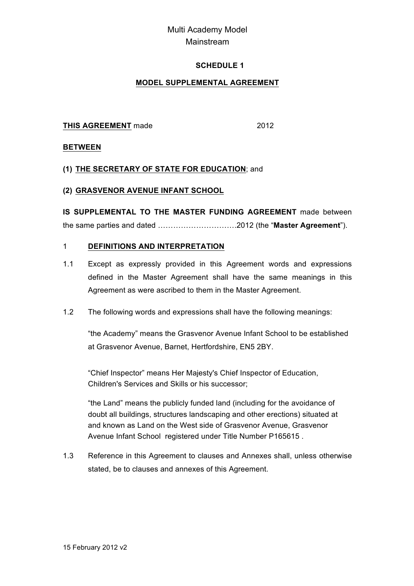### **SCHEDULE 1**

### **MODEL SUPPLEMENTAL AGREEMENT**

### **THIS AGREEMENT** made 2012

### **BETWEEN**

### **(1) THE SECRETARY OF STATE FOR EDUCATION**; and

#### **(2) GRASVENOR AVENUE INFANT SCHOOL**

**IS SUPPLEMENTAL TO THE MASTER FUNDING AGREEMENT** made between the same parties and dated ………………………….2012 (the "**Master Agreement**").

### 1 **DEFINITIONS AND INTERPRETATION**

- 1.1 Except as expressly provided in this Agreement words and expressions defined in the Master Agreement shall have the same meanings in this Agreement as were ascribed to them in the Master Agreement.
- 1.2 The following words and expressions shall have the following meanings:

"the Academy" means the Grasvenor Avenue Infant School to be established at Grasvenor Avenue, Barnet, Hertfordshire, EN5 2BY.

"Chief Inspector" means Her Majesty's Chief Inspector of Education, Children's Services and Skills or his successor;

"the Land" means the publicly funded land (including for the avoidance of doubt all buildings, structures landscaping and other erections) situated at and known as Land on the West side of Grasvenor Avenue, Grasvenor Avenue Infant School registered under Title Number P165615 .

1.3 Reference in this Agreement to clauses and Annexes shall, unless otherwise stated, be to clauses and annexes of this Agreement.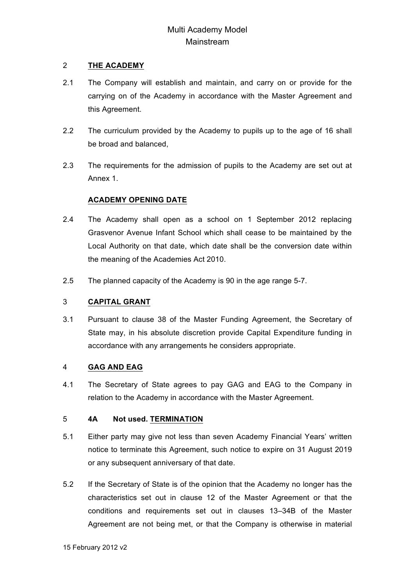### 2 **THE ACADEMY**

- 2.1 The Company will establish and maintain, and carry on or provide for the carrying on of the Academy in accordance with the Master Agreement and this Agreement.
- 2.2 The curriculum provided by the Academy to pupils up to the age of 16 shall be broad and balanced,
- 2.3 The requirements for the admission of pupils to the Academy are set out at Annex 1.

### **ACADEMY OPENING DATE**

- 2.4 The Academy shall open as a school on 1 September 2012 replacing Grasvenor Avenue Infant School which shall cease to be maintained by the Local Authority on that date, which date shall be the conversion date within the meaning of the Academies Act 2010.
- 2.5 The planned capacity of the Academy is 90 in the age range 5-7.

### 3 **CAPITAL GRANT**

3.1 Pursuant to clause 38 of the Master Funding Agreement, the Secretary of State may, in his absolute discretion provide Capital Expenditure funding in accordance with any arrangements he considers appropriate.

### 4 **GAG AND EAG**

4.1 The Secretary of State agrees to pay GAG and EAG to the Company in relation to the Academy in accordance with the Master Agreement.

### 5 **4A Not used. TERMINATION**

- 5.1 Either party may give not less than seven Academy Financial Years' written notice to terminate this Agreement, such notice to expire on 31 August 2019 or any subsequent anniversary of that date.
- 5.2 If the Secretary of State is of the opinion that the Academy no longer has the characteristics set out in clause 12 of the Master Agreement or that the conditions and requirements set out in clauses 13–34B of the Master Agreement are not being met, or that the Company is otherwise in material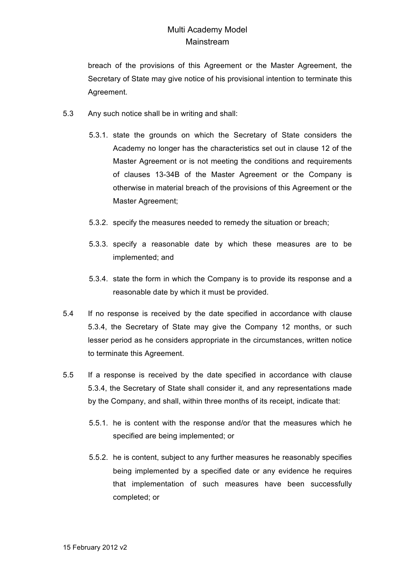breach of the provisions of this Agreement or the Master Agreement, the Secretary of State may give notice of his provisional intention to terminate this Agreement.

- 5.3 Any such notice shall be in writing and shall:
	- 5.3.1. state the grounds on which the Secretary of State considers the Academy no longer has the characteristics set out in clause 12 of the Master Agreement or is not meeting the conditions and requirements of clauses 13-34B of the Master Agreement or the Company is otherwise in material breach of the provisions of this Agreement or the Master Agreement;
	- 5.3.2. specify the measures needed to remedy the situation or breach;
	- 5.3.3. specify a reasonable date by which these measures are to be implemented; and
	- 5.3.4. state the form in which the Company is to provide its response and a reasonable date by which it must be provided.
- 5.4 If no response is received by the date specified in accordance with clause 5.3.4, the Secretary of State may give the Company 12 months, or such lesser period as he considers appropriate in the circumstances, written notice to terminate this Agreement.
- 5.5 If a response is received by the date specified in accordance with clause 5.3.4, the Secretary of State shall consider it, and any representations made by the Company, and shall, within three months of its receipt, indicate that:
	- 5.5.1. he is content with the response and/or that the measures which he specified are being implemented; or
	- 5.5.2. he is content, subject to any further measures he reasonably specifies being implemented by a specified date or any evidence he requires that implementation of such measures have been successfully completed; or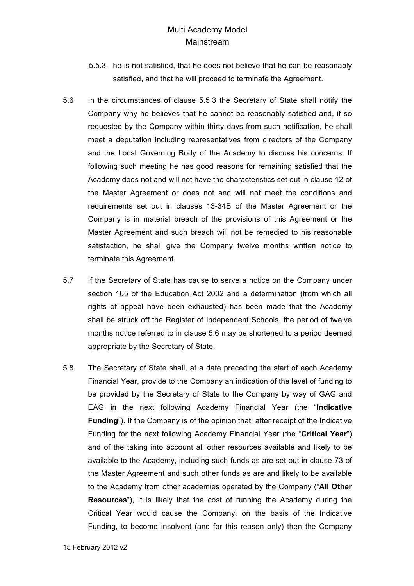- 5.5.3. he is not satisfied, that he does not believe that he can be reasonably satisfied, and that he will proceed to terminate the Agreement.
- 5.6 In the circumstances of clause 5.5.3 the Secretary of State shall notify the Company why he believes that he cannot be reasonably satisfied and, if so requested by the Company within thirty days from such notification, he shall meet a deputation including representatives from directors of the Company and the Local Governing Body of the Academy to discuss his concerns. If following such meeting he has good reasons for remaining satisfied that the Academy does not and will not have the characteristics set out in clause 12 of the Master Agreement or does not and will not meet the conditions and requirements set out in clauses 13-34B of the Master Agreement or the Company is in material breach of the provisions of this Agreement or the Master Agreement and such breach will not be remedied to his reasonable satisfaction, he shall give the Company twelve months written notice to terminate this Agreement.
- 5.7 If the Secretary of State has cause to serve a notice on the Company under section 165 of the Education Act 2002 and a determination (from which all rights of appeal have been exhausted) has been made that the Academy shall be struck off the Register of Independent Schools, the period of twelve months notice referred to in clause 5.6 may be shortened to a period deemed appropriate by the Secretary of State.
- 5.8 The Secretary of State shall, at a date preceding the start of each Academy Financial Year, provide to the Company an indication of the level of funding to be provided by the Secretary of State to the Company by way of GAG and EAG in the next following Academy Financial Year (the "**Indicative Funding**"). If the Company is of the opinion that, after receipt of the Indicative Funding for the next following Academy Financial Year (the "**Critical Year**") and of the taking into account all other resources available and likely to be available to the Academy, including such funds as are set out in clause 73 of the Master Agreement and such other funds as are and likely to be available to the Academy from other academies operated by the Company ("**All Other Resources**"), it is likely that the cost of running the Academy during the Critical Year would cause the Company, on the basis of the Indicative Funding, to become insolvent (and for this reason only) then the Company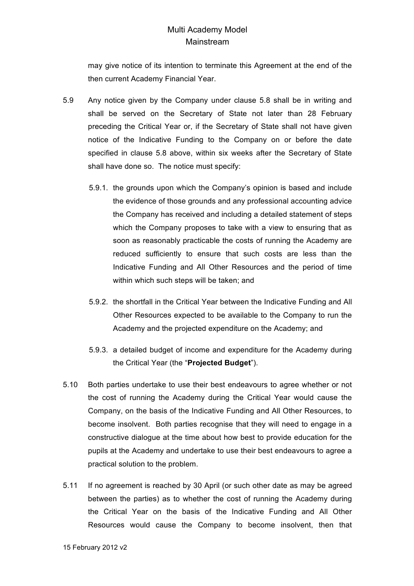may give notice of its intention to terminate this Agreement at the end of the then current Academy Financial Year.

- 5.9 Any notice given by the Company under clause 5.8 shall be in writing and shall be served on the Secretary of State not later than 28 February preceding the Critical Year or, if the Secretary of State shall not have given notice of the Indicative Funding to the Company on or before the date specified in clause 5.8 above, within six weeks after the Secretary of State shall have done so. The notice must specify:
	- 5.9.1. the grounds upon which the Company's opinion is based and include the evidence of those grounds and any professional accounting advice the Company has received and including a detailed statement of steps which the Company proposes to take with a view to ensuring that as soon as reasonably practicable the costs of running the Academy are reduced sufficiently to ensure that such costs are less than the Indicative Funding and All Other Resources and the period of time within which such steps will be taken; and
	- 5.9.2. the shortfall in the Critical Year between the Indicative Funding and All Other Resources expected to be available to the Company to run the Academy and the projected expenditure on the Academy; and
	- 5.9.3. a detailed budget of income and expenditure for the Academy during the Critical Year (the "**Projected Budget**").
- 5.10 Both parties undertake to use their best endeavours to agree whether or not the cost of running the Academy during the Critical Year would cause the Company, on the basis of the Indicative Funding and All Other Resources, to become insolvent. Both parties recognise that they will need to engage in a constructive dialogue at the time about how best to provide education for the pupils at the Academy and undertake to use their best endeavours to agree a practical solution to the problem.
- 5.11 If no agreement is reached by 30 April (or such other date as may be agreed between the parties) as to whether the cost of running the Academy during the Critical Year on the basis of the Indicative Funding and All Other Resources would cause the Company to become insolvent, then that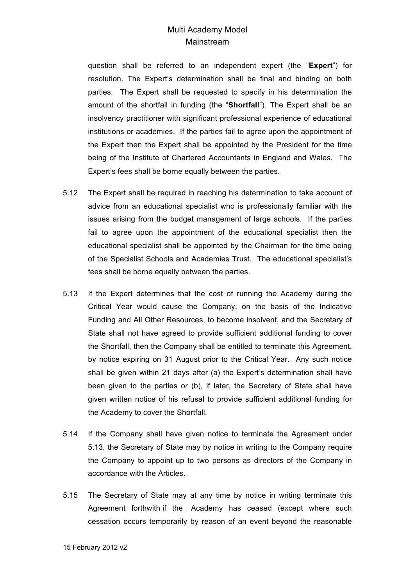question shall be referred to an independent expert (the "**Expert**") for resolution. The Expert's determination shall be final and binding on both parties. The Expert shall be requested to specify in his determination the amount of the shortfall in funding (the "**Shortfall**"). The Expert shall be an insolvency practitioner with significant professional experience of educational institutions or academies. If the parties fail to agree upon the appointment of the Expert then the Expert shall be appointed by the President for the time being of the Institute of Chartered Accountants in England and Wales. The Expert's fees shall be borne equally between the parties.

- 5.12 The Expert shall be required in reaching his determination to take account of advice from an educational specialist who is professionally familiar with the issues arising from the budget management of large schools. If the parties fail to agree upon the appointment of the educational specialist then the educational specialist shall be appointed by the Chairman for the time being of the Specialist Schools and Academies Trust. The educational specialist's fees shall be borne equally between the parties.
- 5.13 If the Expert determines that the cost of running the Academy during the Critical Year would cause the Company, on the basis of the Indicative Funding and All Other Resources, to become insolvent, and the Secretary of State shall not have agreed to provide sufficient additional funding to cover the Shortfall, then the Company shall be entitled to terminate this Agreement, by notice expiring on 31 August prior to the Critical Year. Any such notice shall be given within 21 days after (a) the Expert's determination shall have been given to the parties or (b), if later, the Secretary of State shall have given written notice of his refusal to provide sufficient additional funding for the Academy to cover the Shortfall.
- 5.14 If the Company shall have given notice to terminate the Agreement under 5.13, the Secretary of State may by notice in writing to the Company require the Company to appoint up to two persons as directors of the Company in accordance with the Articles.
- 5.15 The Secretary of State may at any time by notice in writing terminate this Agreement forthwith if the Academy has ceased (except where such cessation occurs temporarily by reason of an event beyond the reasonable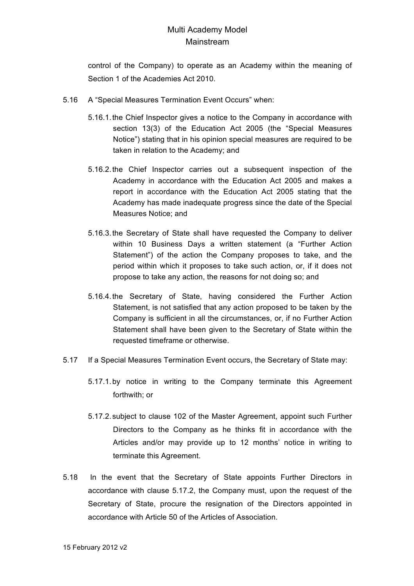control of the Company) to operate as an Academy within the meaning of Section 1 of the Academies Act 2010.

- 5.16 A "Special Measures Termination Event Occurs" when:
	- 5.16.1.the Chief Inspector gives a notice to the Company in accordance with section 13(3) of the Education Act 2005 (the "Special Measures Notice") stating that in his opinion special measures are required to be taken in relation to the Academy; and
	- 5.16.2.the Chief Inspector carries out a subsequent inspection of the Academy in accordance with the Education Act 2005 and makes a report in accordance with the Education Act 2005 stating that the Academy has made inadequate progress since the date of the Special Measures Notice; and
	- 5.16.3.the Secretary of State shall have requested the Company to deliver within 10 Business Days a written statement (a "Further Action Statement") of the action the Company proposes to take, and the period within which it proposes to take such action, or, if it does not propose to take any action, the reasons for not doing so; and
	- 5.16.4.the Secretary of State, having considered the Further Action Statement, is not satisfied that any action proposed to be taken by the Company is sufficient in all the circumstances, or, if no Further Action Statement shall have been given to the Secretary of State within the requested timeframe or otherwise.
- 5.17 If a Special Measures Termination Event occurs, the Secretary of State may:
	- 5.17.1.by notice in writing to the Company terminate this Agreement forthwith; or
	- 5.17.2.subject to clause 102 of the Master Agreement, appoint such Further Directors to the Company as he thinks fit in accordance with the Articles and/or may provide up to 12 months' notice in writing to terminate this Agreement.
- 5.18 In the event that the Secretary of State appoints Further Directors in accordance with clause 5.17.2, the Company must, upon the request of the Secretary of State, procure the resignation of the Directors appointed in accordance with Article 50 of the Articles of Association.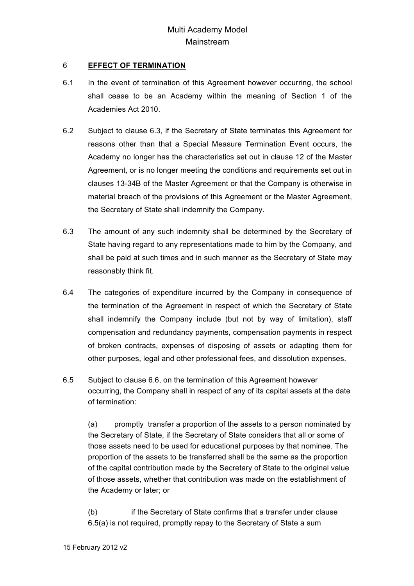### 6 **EFFECT OF TERMINATION**

- 6.1 In the event of termination of this Agreement however occurring, the school shall cease to be an Academy within the meaning of Section 1 of the Academies Act 2010.
- 6.2 Subject to clause 6.3, if the Secretary of State terminates this Agreement for reasons other than that a Special Measure Termination Event occurs, the Academy no longer has the characteristics set out in clause 12 of the Master Agreement, or is no longer meeting the conditions and requirements set out in clauses 13-34B of the Master Agreement or that the Company is otherwise in material breach of the provisions of this Agreement or the Master Agreement, the Secretary of State shall indemnify the Company.
- 6.3 The amount of any such indemnity shall be determined by the Secretary of State having regard to any representations made to him by the Company, and shall be paid at such times and in such manner as the Secretary of State may reasonably think fit.
- 6.4 The categories of expenditure incurred by the Company in consequence of the termination of the Agreement in respect of which the Secretary of State shall indemnify the Company include (but not by way of limitation), staff compensation and redundancy payments, compensation payments in respect of broken contracts, expenses of disposing of assets or adapting them for other purposes, legal and other professional fees, and dissolution expenses.
- 6.5 Subject to clause 6.6, on the termination of this Agreement however occurring, the Company shall in respect of any of its capital assets at the date of termination:

(a) promptly transfer a proportion of the assets to a person nominated by the Secretary of State, if the Secretary of State considers that all or some of those assets need to be used for educational purposes by that nominee. The proportion of the assets to be transferred shall be the same as the proportion of the capital contribution made by the Secretary of State to the original value of those assets, whether that contribution was made on the establishment of the Academy or later; or

(b) if the Secretary of State confirms that a transfer under clause 6.5(a) is not required, promptly repay to the Secretary of State a sum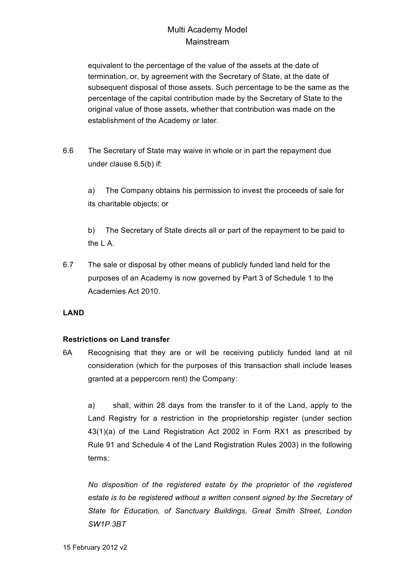equivalent to the percentage of the value of the assets at the date of termination, or, by agreement with the Secretary of State, at the date of subsequent disposal of those assets. Such percentage to be the same as the percentage of the capital contribution made by the Secretary of State to the original value of those assets, whether that contribution was made on the establishment of the Academy or later.

6.6 The Secretary of State may waive in whole or in part the repayment due under clause 6.5(b) if:

a) The Company obtains his permission to invest the proceeds of sale for its charitable objects; or

b) The Secretary of State directs all or part of the repayment to be paid to the L A.

6.7 The sale or disposal by other means of publicly funded land held for the purposes of an Academy is now governed by Part 3 of Schedule 1 to the Academies Act 2010.

### **LAND**

### **Restrictions on Land transfer**

6A Recognising that they are or will be receiving publicly funded land at nil consideration (which for the purposes of this transaction shall include leases granted at a peppercorn rent) the Company:

a) shall, within 28 days from the transfer to it of the Land, apply to the Land Registry for a restriction in the proprietorship register (under section 43(1)(a) of the Land Registration Act 2002 in Form RX1 as prescribed by Rule 91 and Schedule 4 of the Land Registration Rules 2003) in the following terms:

*No disposition of the registered estate by the proprietor of the registered*  estate is to be registered without a written consent signed by the Secretary of *State for Education, of Sanctuary Buildings, Great Smith Street, London SW1P 3BT*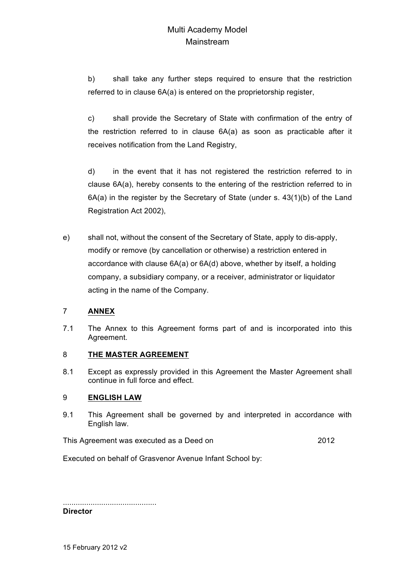b) shall take any further steps required to ensure that the restriction referred to in clause 6A(a) is entered on the proprietorship register,

c) shall provide the Secretary of State with confirmation of the entry of the restriction referred to in clause 6A(a) as soon as practicable after it receives notification from the Land Registry,

d) in the event that it has not registered the restriction referred to in clause 6A(a), hereby consents to the entering of the restriction referred to in 6A(a) in the register by the Secretary of State (under s. 43(1)(b) of the Land Registration Act 2002),

e) shall not, without the consent of the Secretary of State, apply to dis-apply, modify or remove (by cancellation or otherwise) a restriction entered in accordance with clause 6A(a) or 6A(d) above, whether by itself, a holding company, a subsidiary company, or a receiver, administrator or liquidator acting in the name of the Company.

### 7 **ANNEX**

7.1 The Annex to this Agreement forms part of and is incorporated into this Agreement.

### 8 **THE MASTER AGREEMENT**

8.1 Except as expressly provided in this Agreement the Master Agreement shall continue in full force and effect.

#### 9 **ENGLISH LAW**

9.1 This Agreement shall be governed by and interpreted in accordance with English law.

This Agreement was executed as a Deed on 2012

Executed on behalf of Grasvenor Avenue Infant School by:

............................................ **Director**

15 February 2012 v2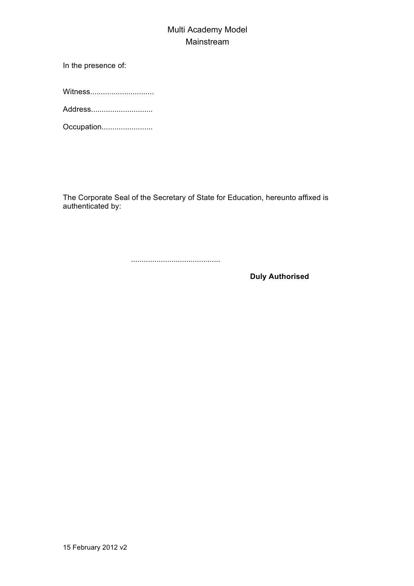In the presence of:

Witness................................

Address...............................

Occupation..........................

The Corporate Seal of the Secretary of State for Education, hereunto affixed is authenticated by:

..........................................

**Duly Authorised**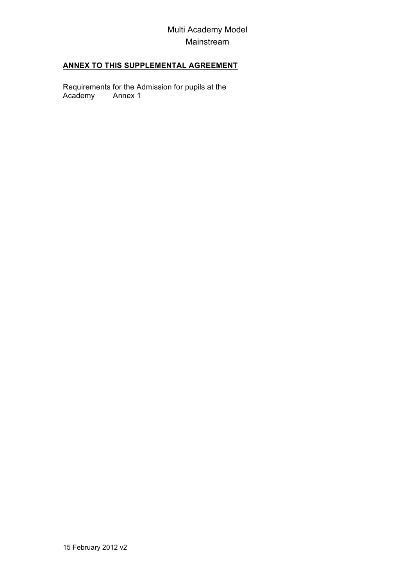### **ANNEX TO THIS SUPPLEMENTAL AGREEMENT**

Requirements for the Admission for pupils at the Academy Annex 1